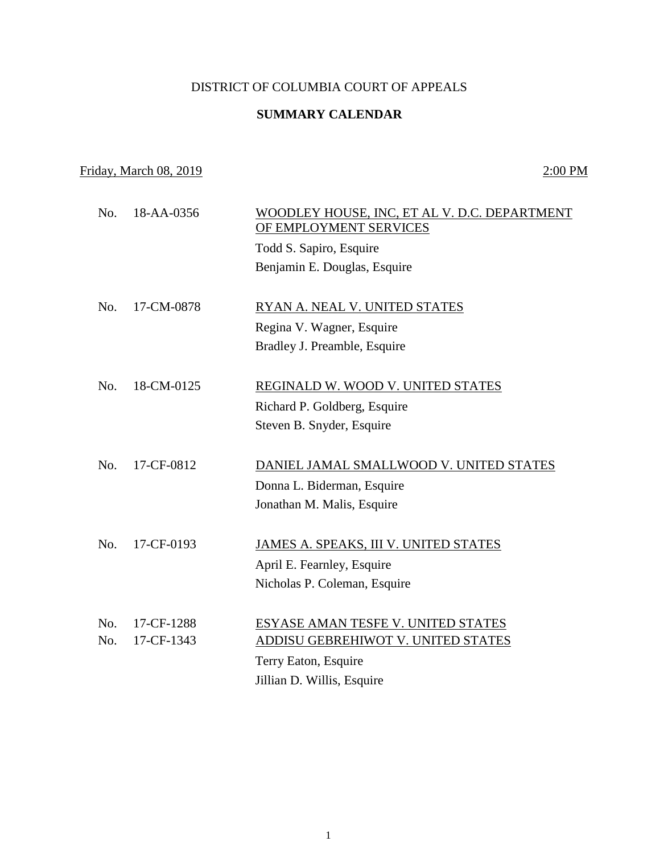## DISTRICT OF COLUMBIA COURT OF APPEALS

## **SUMMARY CALENDAR**

## Friday, March 08, 2019 2:00 PM

 No. 18-AA-0356 WOODLEY HOUSE, INC, ET AL V. D.C. DEPARTMENT OF EMPLOYMENT SERVICES Todd S. Sapiro, Esquire Benjamin E. Douglas, Esquire No. 17-CM-0878 RYAN A. NEAL V. UNITED STATES Regina V. Wagner, Esquire Bradley J. Preamble, Esquire No. 18-CM-0125 REGINALD W. WOOD V. UNITED STATES Richard P. Goldberg, Esquire Steven B. Snyder, Esquire No. 17-CF-0812 DANIEL JAMAL SMALLWOOD V. UNITED STATES Donna L. Biderman, Esquire Jonathan M. Malis, Esquire No. 17-CF-0193 JAMES A. SPEAKS, III V. UNITED STATES April E. Fearnley, Esquire Nicholas P. Coleman, Esquire No. 17-CF-1288 ESYASE AMAN TESFE V. UNITED STATES No. 17-CF-1343 ADDISU GEBREHIWOT V. UNITED STATES Terry Eaton, Esquire Jillian D. Willis, Esquire

1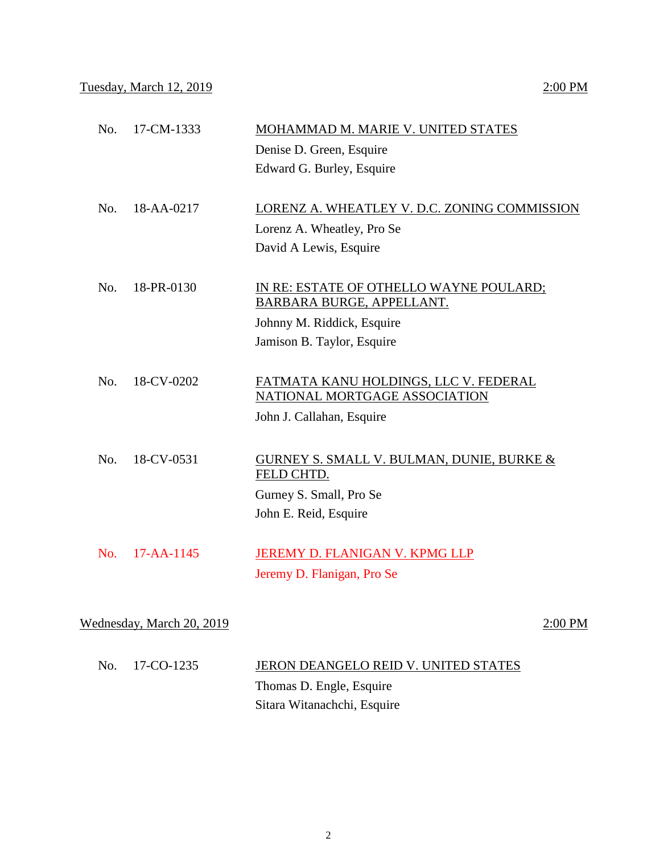| Wednesday, March 20, 2019 |            | $2:00$ PM                                                                                                                        |  |
|---------------------------|------------|----------------------------------------------------------------------------------------------------------------------------------|--|
| No.                       | 17-AA-1145 | JEREMY D. FLANIGAN V. KPMG LLP<br>Jeremy D. Flanigan, Pro Se                                                                     |  |
|                           |            | John E. Reid, Esquire                                                                                                            |  |
| No.                       | 18-CV-0531 | <b>GURNEY S. SMALL V. BULMAN, DUNIE, BURKE &amp;</b><br>FELD CHTD.<br>Gurney S. Small, Pro Se                                    |  |
| No.                       | 18-CV-0202 | FATMATA KANU HOLDINGS, LLC V. FEDERAL<br>NATIONAL MORTGAGE ASSOCIATION<br>John J. Callahan, Esquire                              |  |
| No.                       | 18-PR-0130 | IN RE: ESTATE OF OTHELLO WAYNE POULARD;<br>BARBARA BURGE, APPELLANT.<br>Johnny M. Riddick, Esquire<br>Jamison B. Taylor, Esquire |  |
| No.                       | 18-AA-0217 | LORENZ A. WHEATLEY V. D.C. ZONING COMMISSION<br>Lorenz A. Wheatley, Pro Se<br>David A Lewis, Esquire                             |  |
| No.                       | 17-CM-1333 | MOHAMMAD M. MARIE V. UNITED STATES<br>Denise D. Green, Esquire<br>Edward G. Burley, Esquire                                      |  |

| No. 17-CO-1235 | JERON DEANGELO REID V. UNITED STATES |
|----------------|--------------------------------------|
|                | Thomas D. Engle, Esquire             |
|                | Sitara Witanachchi, Esquire          |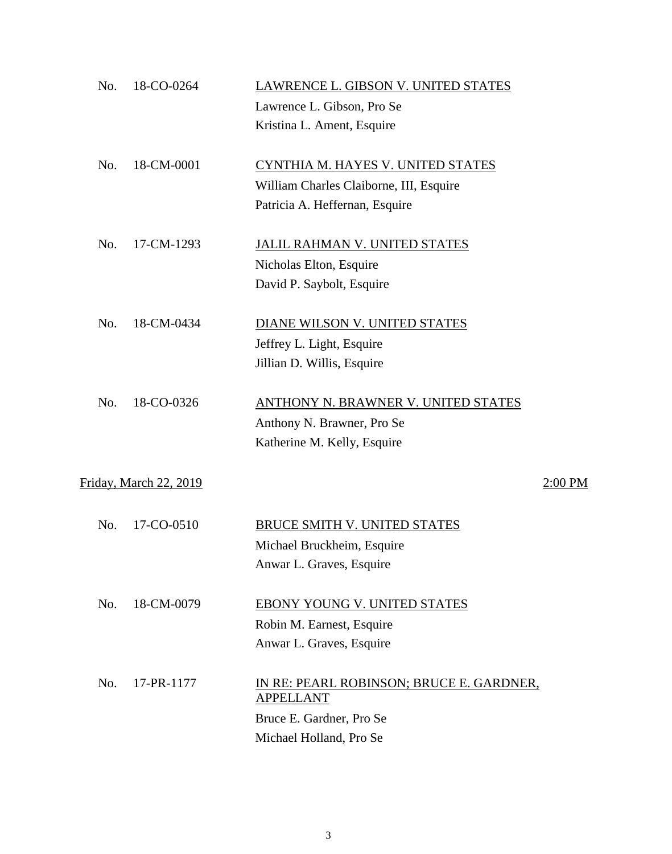| No. | 18-CO-0264             | LAWRENCE L. GIBSON V. UNITED STATES                          |         |
|-----|------------------------|--------------------------------------------------------------|---------|
|     |                        | Lawrence L. Gibson, Pro Se                                   |         |
|     |                        | Kristina L. Ament, Esquire                                   |         |
| No. | 18-CM-0001             | CYNTHIA M. HAYES V. UNITED STATES                            |         |
|     |                        | William Charles Claiborne, III, Esquire                      |         |
|     |                        | Patricia A. Heffernan, Esquire                               |         |
| No. | 17-CM-1293             | <b>JALIL RAHMAN V. UNITED STATES</b>                         |         |
|     |                        | Nicholas Elton, Esquire                                      |         |
|     |                        | David P. Saybolt, Esquire                                    |         |
| No. | 18-CM-0434             | DIANE WILSON V. UNITED STATES                                |         |
|     |                        | Jeffrey L. Light, Esquire                                    |         |
|     |                        | Jillian D. Willis, Esquire                                   |         |
| No. | 18-CO-0326             | ANTHONY N. BRAWNER V. UNITED STATES                          |         |
|     |                        | Anthony N. Brawner, Pro Se                                   |         |
|     |                        | Katherine M. Kelly, Esquire                                  |         |
|     | Friday, March 22, 2019 |                                                              | 2:00 PM |
| No. | 17-CO-0510             | BRUCE SMITH V. UNITED STATES                                 |         |
|     |                        | Michael Bruckheim, Esquire                                   |         |
|     |                        | Anwar L. Graves, Esquire                                     |         |
| No. | 18-CM-0079             | EBONY YOUNG V. UNITED STATES                                 |         |
|     |                        | Robin M. Earnest, Esquire                                    |         |
|     |                        | Anwar L. Graves, Esquire                                     |         |
| No. | 17-PR-1177             | IN RE: PEARL ROBINSON; BRUCE E. GARDNER,<br><b>APPELLANT</b> |         |
|     |                        | Bruce E. Gardner, Pro Se                                     |         |
|     |                        | Michael Holland, Pro Se                                      |         |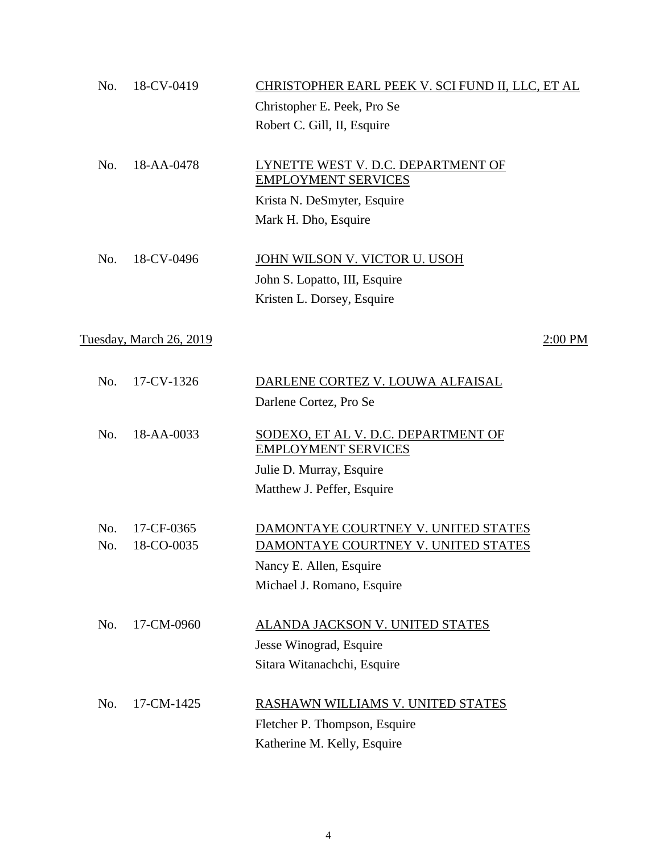| No.        | 18-CV-0419               | CHRISTOPHER EARL PEEK V. SCI FUND II, LLC, ET AL<br>Christopher E. Peek, Pro Se<br>Robert C. Gill, II, Esquire                      |           |
|------------|--------------------------|-------------------------------------------------------------------------------------------------------------------------------------|-----------|
| No.        | 18-AA-0478               | LYNETTE WEST V. D.C. DEPARTMENT OF<br><b>EMPLOYMENT SERVICES</b><br>Krista N. DeSmyter, Esquire<br>Mark H. Dho, Esquire             |           |
| No.        | 18-CV-0496               | JOHN WILSON V. VICTOR U. USOH<br>John S. Lopatto, III, Esquire<br>Kristen L. Dorsey, Esquire                                        |           |
|            | Tuesday, March 26, 2019  |                                                                                                                                     | $2:00$ PM |
| No.        | 17-CV-1326               | DARLENE CORTEZ V. LOUWA ALFAISAL<br>Darlene Cortez, Pro Se                                                                          |           |
| No.        | 18-AA-0033               | SODEXO, ET AL V. D.C. DEPARTMENT OF<br><b>EMPLOYMENT SERVICES</b><br>Julie D. Murray, Esquire<br>Matthew J. Peffer, Esquire         |           |
| No.<br>No. | 17-CF-0365<br>18-CO-0035 | DAMONTAYE COURTNEY V. UNITED STATES<br>DAMONTAYE COURTNEY V. UNITED STATES<br>Nancy E. Allen, Esquire<br>Michael J. Romano, Esquire |           |
| No.        | 17-CM-0960               | ALANDA JACKSON V. UNITED STATES<br>Jesse Winograd, Esquire<br>Sitara Witanachchi, Esquire                                           |           |
| No.        | 17-CM-1425               | RASHAWN WILLIAMS V. UNITED STATES<br>Fletcher P. Thompson, Esquire<br>Katherine M. Kelly, Esquire                                   |           |